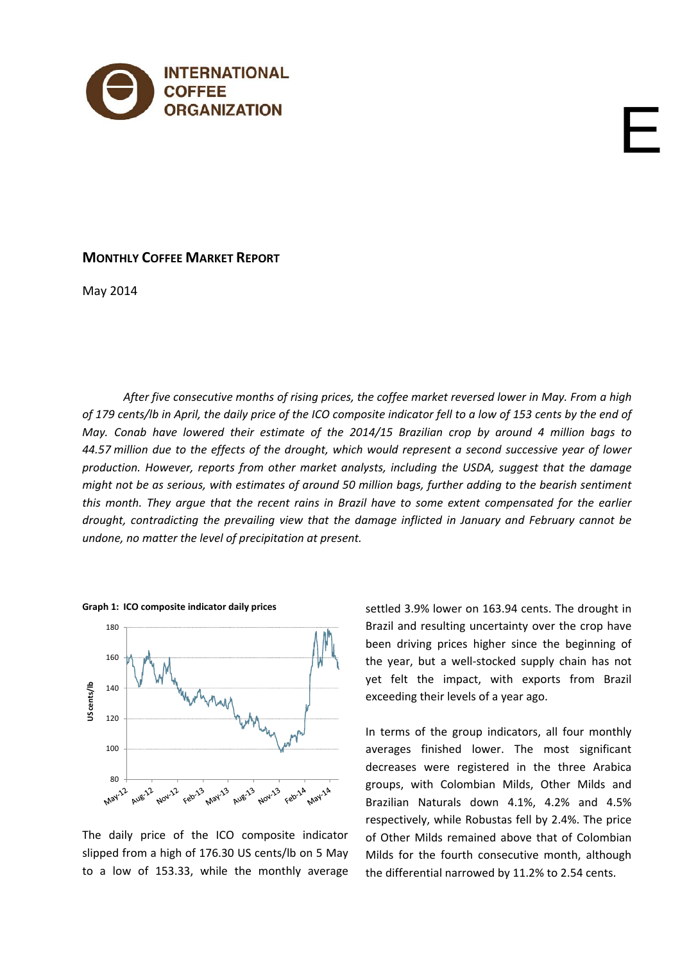

# **MONTHLY COFFEE MARKET REPORT**

May 2014

*After five consecutive months of rising prices, the coffee market reversed lower in May. From a high* of 179 cents/lb in April, the daily price of the ICO composite indicator fell to a low of 153 cents by the end of *May. Conab have lowered their estimate of the 2014/15 Brazilian crop by around 4 million bags to* 44.57 million due to the effects of the drought, which would represent a second successive year of lower *production. However, reports from other market analysts, including the USDA, suggest that the damage* might not be as serious, with estimates of around 50 million bags, further adding to the bearish sentiment this month. They argue that the recent rains in Brazil have to some extent compensated for the earlier *drought, contradicting the prevailing view that the damage inflicted in January and February cannot be undone, no matter the level of precipitation at present.* 



**Graph 1: ICO composite indicator daily prices**

The daily price of the ICO composite indicator slipped from a high of 176.30 US cents/lb on 5 May to a low of 153.33, while the monthly average settled 3.9% lower on 163.94 cents. The drought in Brazil and resulting uncertainty over the crop have been driving prices higher since the beginning of the year, but a well‐stocked supply chain has not yet felt the impact, with exports from Brazil exceeding their levels of a year ago.

E

In terms of the group indicators, all four monthly averages finished lower. The most significant decreases were registered in the three Arabica groups, with Colombian Milds, Other Milds and Brazilian Naturals down 4.1%, 4.2% and 4.5% respectively, while Robustas fell by 2.4%. The price of Other Milds remained above that of Colombian Milds for the fourth consecutive month, although the differential narrowed by 11.2% to 2.54 cents.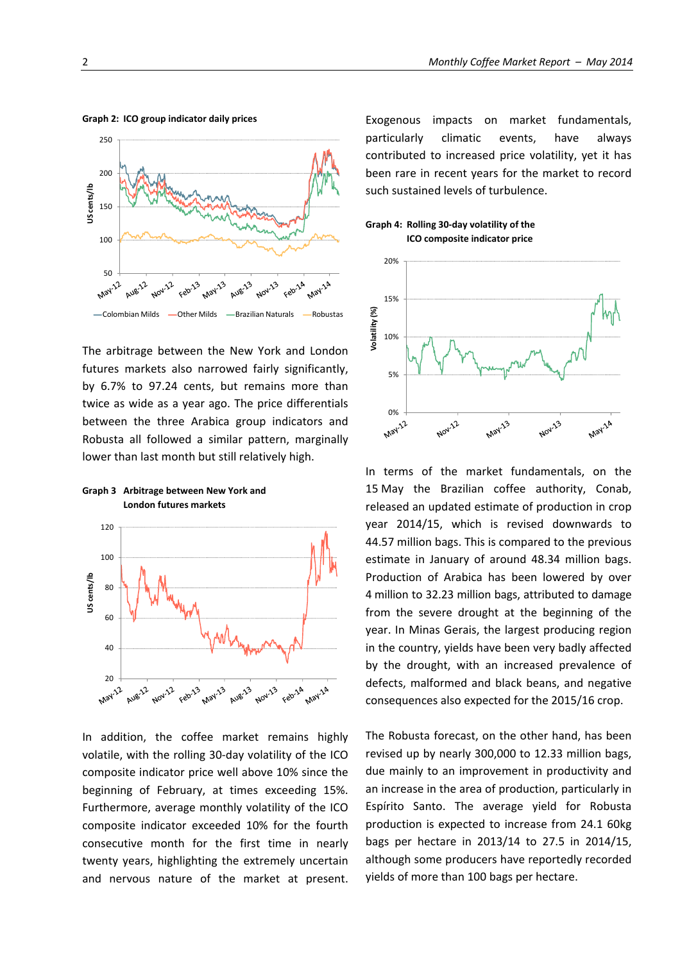

The arbitrage between the New York and London futures markets also narrowed fairly significantly, by 6.7% to 97.24 cents, but remains more than twice as wide as a year ago. The price differentials between the three Arabica group indicators and Robusta all followed a similar pattern, marginally lower than last month but still relatively high.

### **Graph 3 Arbitrage between New York and London futures markets**



In addition, the coffee market remains highly volatile, with the rolling 30‐day volatility of the ICO composite indicator price well above 10% since the beginning of February, at times exceeding 15%. Furthermore, average monthly volatility of the ICO composite indicator exceeded 10% for the fourth consecutive month for the first time in nearly twenty years, highlighting the extremely uncertain and nervous nature of the market at present. Exogenous impacts on market fundamentals, particularly climatic events, have always contributed to increased price volatility, yet it has been rare in recent years for the market to record such sustained levels of turbulence.

#### **Graph 4: Rolling 30‐day volatility of the ICO composite indicator price**



In terms of the market fundamentals, on the 15 May the Brazilian coffee authority, Conab, released an updated estimate of production in crop year 2014/15, which is revised downwards to 44.57 million bags. This is compared to the previous estimate in January of around 48.34 million bags. Production of Arabica has been lowered by over 4 million to 32.23 million bags, attributed to damage from the severe drought at the beginning of the year. In Minas Gerais, the largest producing region in the country, yields have been very badly affected by the drought, with an increased prevalence of defects, malformed and black beans, and negative consequences also expected for the 2015/16 crop.

The Robusta forecast, on the other hand, has been revised up by nearly 300,000 to 12.33 million bags, due mainly to an improvement in productivity and an increase in the area of production, particularly in Espírito Santo. The average yield for Robusta production is expected to increase from 24.1 60kg bags per hectare in 2013/14 to 27.5 in 2014/15, although some producers have reportedly recorded yields of more than 100 bags per hectare.

**Graph 2: ICO group indicator daily prices**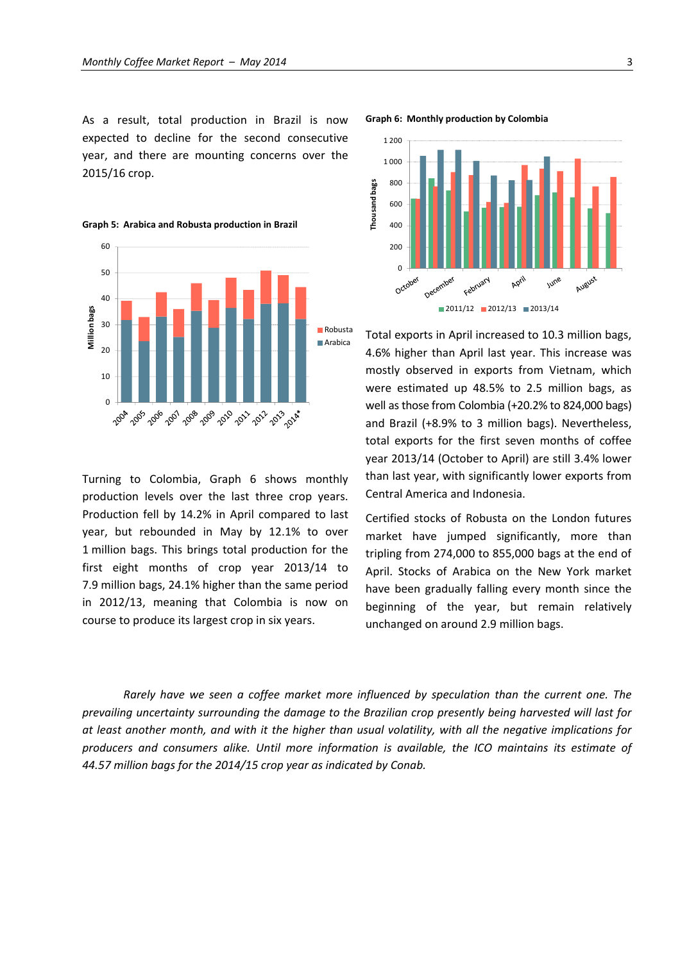**Graph 5: Arabica and Robusta production in Brazil**

As a result, total production in Brazil is now expected to decline for the second consecutive year, and there are mounting concerns over the 2015/16 crop.



Turning to Colombia, Graph 6 shows monthly production levels over the last three crop years. Production fell by 14.2% in April compared to last year, but rebounded in May by 12.1% to over 1 million bags. This brings total production for the first eight months of crop year 2013/14 to 7.9 million bags, 24.1% higher than the same period in 2012/13, meaning that Colombia is now on course to produce its largest crop in six years.



Total exports in April increased to 10.3 million bags, 4.6% higher than April last year. This increase was mostly observed in exports from Vietnam, which were estimated up 48.5% to 2.5 million bags, as well as those from Colombia (+20.2% to 824,000 bags) and Brazil (+8.9% to 3 million bags). Nevertheless, total exports for the first seven months of coffee year 2013/14 (October to April) are still 3.4% lower than last year, with significantly lower exports from Central America and Indonesia.

Certified stocks of Robusta on the London futures market have jumped significantly, more than tripling from 274,000 to 855,000 bags at the end of April. Stocks of Arabica on the New York market have been gradually falling every month since the beginning of the year, but remain relatively unchanged on around 2.9 million bags.

*Rarely have we seen a coffee market more influenced by speculation than the current one. The prevailing uncertainty surrounding the damage to the Brazilian crop presently being harvested will last for* at least another month, and with it the higher than usual volatility, with all the negative implications for *producers and consumers alike. Until more information is available, the ICO maintains its estimate of 44.57 million bags for the 2014/15 crop year as indicated by Conab.*

**Graph 6: Monthly production by Colombia**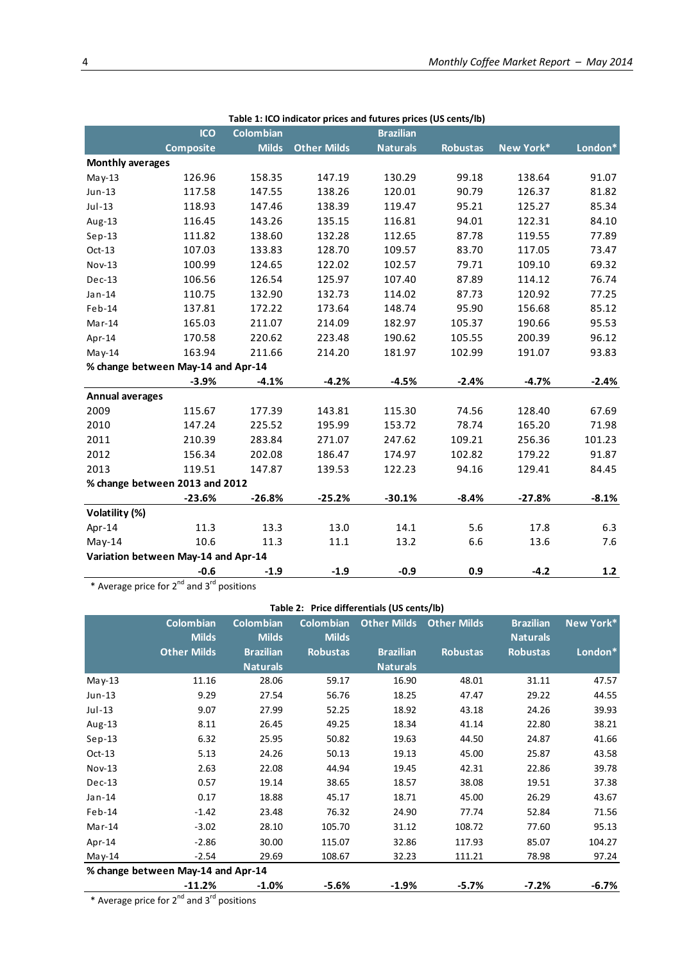| rapic 1. ICO indicator prices and ratures prices (05 cents/10) |                                     |                  |                    |                  |                 |           |         |  |  |
|----------------------------------------------------------------|-------------------------------------|------------------|--------------------|------------------|-----------------|-----------|---------|--|--|
|                                                                | <b>ICO</b>                          | <b>Colombian</b> |                    | <b>Brazilian</b> |                 |           |         |  |  |
|                                                                | <b>Composite</b>                    | <b>Milds</b>     | <b>Other Milds</b> | <b>Naturals</b>  | <b>Robustas</b> | New York* | London* |  |  |
| <b>Monthly averages</b>                                        |                                     |                  |                    |                  |                 |           |         |  |  |
| $May-13$                                                       | 126.96                              | 158.35           | 147.19             | 130.29           | 99.18           | 138.64    | 91.07   |  |  |
| Jun-13                                                         | 117.58                              | 147.55           | 138.26             | 120.01           | 90.79           | 126.37    | 81.82   |  |  |
| $Jul-13$                                                       | 118.93                              | 147.46           | 138.39             | 119.47           | 95.21           | 125.27    | 85.34   |  |  |
| Aug-13                                                         | 116.45                              | 143.26           | 135.15             | 116.81           | 94.01           | 122.31    | 84.10   |  |  |
| $Sep-13$                                                       | 111.82                              | 138.60           | 132.28             | 112.65           | 87.78           | 119.55    | 77.89   |  |  |
| $Oct-13$                                                       | 107.03                              | 133.83           | 128.70             | 109.57           | 83.70           | 117.05    | 73.47   |  |  |
| Nov-13                                                         | 100.99                              | 124.65           | 122.02             | 102.57           | 79.71           | 109.10    | 69.32   |  |  |
| Dec-13                                                         | 106.56                              | 126.54           | 125.97             | 107.40           | 87.89           | 114.12    | 76.74   |  |  |
| Jan-14                                                         | 110.75                              | 132.90           | 132.73             | 114.02           | 87.73           | 120.92    | 77.25   |  |  |
| Feb-14                                                         | 137.81                              | 172.22           | 173.64             | 148.74           | 95.90           | 156.68    | 85.12   |  |  |
| $Mar-14$                                                       | 165.03                              | 211.07           | 214.09             | 182.97           | 105.37          | 190.66    | 95.53   |  |  |
| Apr-14                                                         | 170.58                              | 220.62           | 223.48             | 190.62           | 105.55          | 200.39    | 96.12   |  |  |
| May-14                                                         | 163.94                              | 211.66           | 214.20             | 181.97           | 102.99          | 191.07    | 93.83   |  |  |
|                                                                | % change between May-14 and Apr-14  |                  |                    |                  |                 |           |         |  |  |
|                                                                | $-3.9%$                             | $-4.1%$          | $-4.2%$            | $-4.5%$          | $-2.4%$         | $-4.7%$   | $-2.4%$ |  |  |
| <b>Annual averages</b>                                         |                                     |                  |                    |                  |                 |           |         |  |  |
| 2009                                                           | 115.67                              | 177.39           | 143.81             | 115.30           | 74.56           | 128.40    | 67.69   |  |  |
| 2010                                                           | 147.24                              | 225.52           | 195.99             | 153.72           | 78.74           | 165.20    | 71.98   |  |  |
| 2011                                                           | 210.39                              | 283.84           | 271.07             | 247.62           | 109.21          | 256.36    | 101.23  |  |  |
| 2012                                                           | 156.34                              | 202.08           | 186.47             | 174.97           | 102.82          | 179.22    | 91.87   |  |  |
| 2013                                                           | 119.51                              | 147.87           | 139.53             | 122.23           | 94.16           | 129.41    | 84.45   |  |  |
|                                                                | % change between 2013 and 2012      |                  |                    |                  |                 |           |         |  |  |
|                                                                | $-23.6%$                            | $-26.8%$         | $-25.2%$           | $-30.1%$         | $-8.4%$         | $-27.8%$  | $-8.1%$ |  |  |
| Volatility (%)                                                 |                                     |                  |                    |                  |                 |           |         |  |  |
| Apr-14                                                         | 11.3                                | 13.3             | 13.0               | 14.1             | 5.6             | 17.8      | 6.3     |  |  |
| $May-14$                                                       | 10.6                                | 11.3             | 11.1               | 13.2             | 6.6             | 13.6      | 7.6     |  |  |
|                                                                | Variation between May-14 and Apr-14 |                  |                    |                  |                 |           |         |  |  |
|                                                                | $-0.6$                              | $-1.9$           | $-1.9$             | $-0.9$           | 0.9             | $-4.2$    | $1.2$   |  |  |

| Table 1: ICO indicator prices and futures prices (US cents/lb) |  |  |  |
|----------------------------------------------------------------|--|--|--|
|----------------------------------------------------------------|--|--|--|

\* Average price for  $2^{nd}$  and  $3^{rd}$  positions

# **Table 2: Price differentials (US cents/lb)**

|          | <b>Colombian</b>                   | <b>Colombian</b> | <b>Colombian</b> | <b>Other Milds</b> | <b>Other Milds</b> | <b>Brazilian</b> | New York* |
|----------|------------------------------------|------------------|------------------|--------------------|--------------------|------------------|-----------|
|          | <b>Milds</b>                       | <b>Milds</b>     | <b>Milds</b>     |                    |                    | <b>Naturals</b>  |           |
|          | <b>Other Milds</b>                 | <b>Brazilian</b> | <b>Robustas</b>  | <b>Brazilian</b>   | <b>Robustas</b>    | <b>Robustas</b>  | London*   |
|          |                                    | <b>Naturals</b>  |                  | <b>Naturals</b>    |                    |                  |           |
| $May-13$ | 11.16                              | 28.06            | 59.17            | 16.90              | 48.01              | 31.11            | 47.57     |
| $Jun-13$ | 9.29                               | 27.54            | 56.76            | 18.25              | 47.47              | 29.22            | 44.55     |
| $Jul-13$ | 9.07                               | 27.99            | 52.25            | 18.92              | 43.18              | 24.26            | 39.93     |
| Aug-13   | 8.11                               | 26.45            | 49.25            | 18.34              | 41.14              | 22.80            | 38.21     |
| $Sep-13$ | 6.32                               | 25.95            | 50.82            | 19.63              | 44.50              | 24.87            | 41.66     |
| $Oct-13$ | 5.13                               | 24.26            | 50.13            | 19.13              | 45.00              | 25.87            | 43.58     |
| $Nov-13$ | 2.63                               | 22.08            | 44.94            | 19.45              | 42.31              | 22.86            | 39.78     |
| $Dec-13$ | 0.57                               | 19.14            | 38.65            | 18.57              | 38.08              | 19.51            | 37.38     |
| Jan-14   | 0.17                               | 18.88            | 45.17            | 18.71              | 45.00              | 26.29            | 43.67     |
| $Feb-14$ | $-1.42$                            | 23.48            | 76.32            | 24.90              | 77.74              | 52.84            | 71.56     |
| $Mar-14$ | $-3.02$                            | 28.10            | 105.70           | 31.12              | 108.72             | 77.60            | 95.13     |
| Apr-14   | $-2.86$                            | 30.00            | 115.07           | 32.86              | 117.93             | 85.07            | 104.27    |
| May-14   | $-2.54$                            | 29.69            | 108.67           | 32.23              | 111.21             | 78.98            | 97.24     |
|          | % change between May-14 and Apr-14 |                  |                  |                    |                    |                  |           |
|          | $-11.2%$                           | $-1.0%$          | -5.6%            | $-1.9%$            | -5.7%              | -7.2%            | $-6.7%$   |

\* Average price for  $2^{nd}$  and  $3^{rd}$  positions